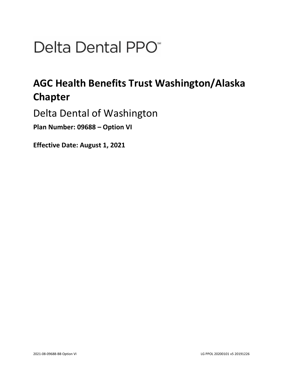# Delta Dental PPO<sup>\*</sup>

## **AGC Health Benefits Trust Washington/Alaska Chapter**

Delta Dental of Washington

**Plan Number: 09688 – Option VI** 

**Effective Date: August 1, 2021**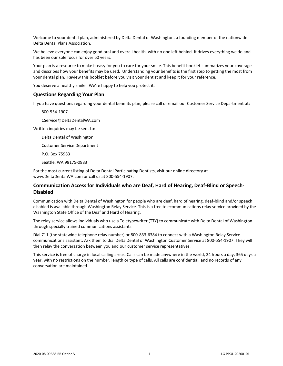Welcome to your dental plan, administered by Delta Dental of Washington, a founding member of the nationwide Delta Dental Plans Association.

We believe everyone can enjoy good oral and overall health, with no one left behind. It drives everything we do and has been our sole focus for over 60 years.

Your plan is a resource to make it easy for you to care for your smile. This benefit booklet summarizes your coverage and describes how your benefits may be used. Understanding your benefits is the first step to getting the most from your dental plan. Review this booklet before you visit your dentist and keep it for your reference.

You deserve a healthy smile. We're happy to help you protect it.

#### **Questions Regarding Your Plan**

If you have questions regarding your dental benefits plan, please call or email our Customer Service Department at:

800-554-1907

CService@DeltaDentalWA.com

Written inquiries may be sent to:

Delta Dental of Washington

Customer Service Department

P.O. Box 75983

Seattle, WA 98175-0983

For the most current listing of Delta Dental Participating Dentists, visit our online directory at www.DeltaDentalWA.com or call us at 800-554-1907.

#### **Communication Access for Individuals who are Deaf, Hard of Hearing, Deaf-Blind or Speech-Disabled**

Communication with Delta Dental of Washington for people who are deaf, hard of hearing, deaf-blind and/or speech disabled is available through Washington Relay Service. This is a free telecommunications relay service provided by the Washington State Office of the Deaf and Hard of Hearing.

The relay service allows individuals who use a Teletypewriter (TTY) to communicate with Delta Dental of Washington through specially trained communications assistants.

Dial 711 (the statewide telephone relay number) or 800-833-6384 to connect with a Washington Relay Service communications assistant. Ask them to dial Delta Dental of Washington Customer Service at 800-554-1907. They will then relay the conversation between you and our customer service representatives.

This service is free of charge in local calling areas. Calls can be made anywhere in the world, 24 hours a day, 365 days a year, with no restrictions on the number, length or type of calls. All calls are confidential, and no records of any conversation are maintained.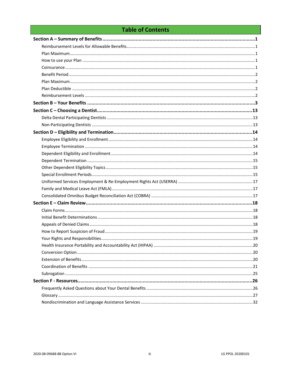### **Table of Contents**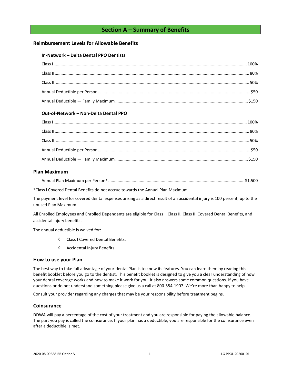#### **Section A – Summary of Benefits**

#### <span id="page-3-1"></span><span id="page-3-0"></span>**Reimbursement Levels for Allowable Benefits**

#### **In-Network – Delta Dental PPO Dentists**

#### **Out-of-Network – Non-Delta Dental PPO**

#### <span id="page-3-2"></span>**Plan Maximum**

| Annual Plan Maximum per Person* |  |  |  |  |
|---------------------------------|--|--|--|--|
|---------------------------------|--|--|--|--|

\*Class I Covered Dental Benefits do not accrue towards the Annual Plan Maximum.

The payment level for covered dental expenses arising as a direct result of an accidental injury is 100 percent, up to the unused Plan Maximum.

All Enrolled Employees and Enrolled Dependents are eligible for Class I, Class II, Class III Covered Dental Benefits, and accidental injury benefits.

The annual deductible is waived for:

- Class I Covered Dental Benefits.
- $\Diamond$  Accidental Injury Benefits.

#### <span id="page-3-3"></span>**How to use your Plan**

The best way to take full advantage of your dental Plan is to know its features. You can learn them by reading this benefit booklet before you go to the dentist. This benefit booklet is designed to give you a clear understanding of how your dental coverage works and how to make it work for you. It also answers some common questions. If you have questions or do not understand something please give us a call at 800-554-1907. We're more than happy to help.

Consult your provider regarding any charges that may be your responsibility before treatment begins.

#### <span id="page-3-4"></span>**Coinsurance**

DDWA will pay a percentage of the cost of your treatment and you are responsible for paying the allowable balance. The part you pay is called the coinsurance. If your plan has a deductible, you are responsible for the coinsurance even after a deductible is met.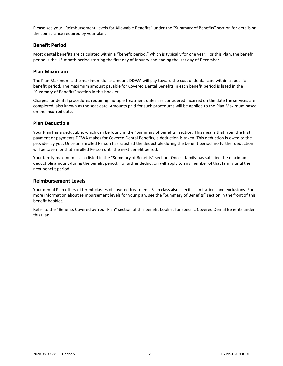Please see your "Reimbursement Levels for Allowable Benefits" under the "Summary of Benefits" section for details on the coinsurance required by your plan.

#### <span id="page-4-0"></span>**Benefit Period**

Most dental benefits are calculated within a "benefit period," which is typically for one year. For this Plan, the benefit period is the 12-month period starting the first day of January and ending the last day of December.

#### <span id="page-4-1"></span>**Plan Maximum**

The Plan Maximum is the maximum dollar amount DDWA will pay toward the cost of dental care within a specific benefit period. The maximum amount payable for Covered Dental Benefits in each benefit period is listed in the "Summary of Benefits" section in this booklet.

Charges for dental procedures requiring multiple treatment dates are considered incurred on the date the services are completed, also known as the seat date. Amounts paid for such procedures will be applied to the Plan Maximum based on the incurred date.

#### <span id="page-4-2"></span>**Plan Deductible**

Your Plan has a deductible, which can be found in the "Summary of Benefits" section. This means that from the first payment or payments DDWA makes for Covered Dental Benefits, a deduction is taken. This deduction is owed to the provider by you. Once an Enrolled Person has satisfied the deductible during the benefit period, no further deduction will be taken for that Enrolled Person until the next benefit period.

Your family maximum is also listed in the "Summary of Benefits" section. Once a family has satisfied the maximum deductible amount during the benefit period, no further deduction will apply to any member of that family until the next benefit period.

#### <span id="page-4-3"></span>**Reimbursement Levels**

Your dental Plan offers different classes of covered treatment. Each class also specifies limitations and exclusions. For more information about reimbursement levels for your plan, see the "Summary of Benefits" section in the front of this benefit booklet.

Refer to the "Benefits Covered by Your Plan" section of this benefit booklet for specific Covered Dental Benefits under this Plan.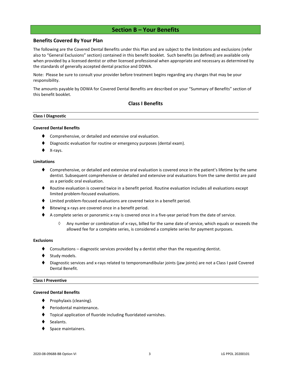#### **Section B – Your Benefits**

#### <span id="page-5-0"></span>**Benefits Covered By Your Plan**

The following are the Covered Dental Benefits under this Plan and are subject to the limitations and exclusions (refer also to "General Exclusions" section) contained in this benefit booklet. Such benefits (as defined) are available only when provided by a licensed dentist or other licensed professional when appropriate and necessary as determined by the standards of generally accepted dental practice and DDWA.

Note: Please be sure to consult your provider before treatment begins regarding any charges that may be your responsibility.

The amounts payable by DDWA for Covered Dental Benefits are described on your "Summary of Benefits" section of this benefit booklet.

#### **Class I Benefits**

#### **Class I Diagnostic**

#### **Covered Dental Benefits**

- Comprehensive, or detailed and extensive oral evaluation.
- Diagnostic evaluation for routine or emergency purposes (dental exam).
- X-rays.

#### **Limitations**

- ♦ Comprehensive, or detailed and extensive oral evaluation is covered once in the patient's lifetime by the same dentist. Subsequent comprehensive or detailed and extensive oral evaluations from the same dentist are paid as a periodic oral evaluation.
- ♦ Routine evaluation is covered twice in a benefit period. Routine evaluation includes all evaluations except limited problem-focused evaluations.
- ⧫ Limited problem-focused evaluations are covered twice in a benefit period.
- Bitewing x-rays are covered once in a benefit period.
- ◆ A complete series or panoramic x-ray is covered once in a five-year period from the date of service.
	- $\Diamond$  Any number or combination of x-rays, billed for the same date of service, which equals or exceeds the allowed fee for a complete series, is considered a complete series for payment purposes.

#### **Exclusions**

- Consultations diagnostic services provided by a dentist other than the requesting dentist.
- Study models.
- Diagnostic services and x-rays related to temporomandibular joints (jaw joints) are not a Class I paid Covered Dental Benefit.

#### **Class I Preventive**

#### **Covered Dental Benefits**

- Prophylaxis (cleaning).
- ⧫ Periodontal maintenance**.**
- ⧫ Topical application of fluoride including fluoridated varnishes.
- Sealants.
- Space maintainers.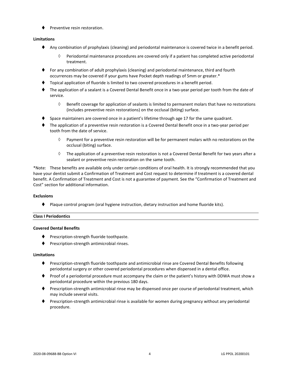⧫ Preventive resin restoration.

#### **Limitations**

- ⧫ Any combination of prophylaxis (cleaning) and periodontal maintenance is covered twice in a benefit period.
	- $\Diamond$  Periodontal maintenance procedures are covered only if a patient has completed active periodontal treatment.
- ⧫ For any combination of adult prophylaxis (cleaning) and periodontal maintenance, third and fourth occurrences may be covered if your gums have Pocket depth readings of 5mm or greater.\*
- ⧫ Topical application of fluoride is limited to two covered procedures in a benefit period.
- ⧫ The application of a sealant is a Covered Dental Benefit once in a two-year period per tooth from the date of service.
	- $\Diamond$  Benefit coverage for application of sealants is limited to permanent molars that have no restorations (includes preventive resin restorations) on the occlusal (biting) surface.
- Space maintainers are covered once in a patient's lifetime through age 17 for the same quadrant.
- ⧫ The application of a preventive resin restoration is a Covered Dental Benefit once in a two-year period per tooth from the date of service.
	- $\Diamond$  Payment for a preventive resin restoration will be for permanent molars with no restorations on the occlusal (biting) surface.
	- $\Diamond$  The application of a preventive resin restoration is not a Covered Dental Benefit for two years after a sealant or preventive resin restoration on the same tooth.

\*Note: These benefits are available only under certain conditions of oral health. It is strongly recommended that you have your dentist submit a Confirmation of Treatment and Cost request to determine if treatment is a covered dental benefit. A Confirmation of Treatment and Cost is not a guarantee of payment. See the "Confirmation of Treatment and Cost" section for additional information.

#### **Exclusions**

⧫ Plaque control program (oral hygiene instruction, dietary instruction and home fluoride kits).

#### **Class I Periodontics**

#### **Covered Dental Benefits**

- ◆ Prescription-strength fluoride toothpaste.
- ⧫ Prescription-strength antimicrobial rinses.

#### **Limitations**

- ◆ Prescription-strength fluoride toothpaste and antimicrobial rinse are Covered Dental Benefits following periodontal surgery or other covered periodontal procedures when dispensed in a dental office.
- ⧫ Proof of a periodontal procedure must accompany the claim or the patient's history with DDWA must show a periodontal procedure within the previous 180 days.
- ⧫ Prescription-strength antimicrobial rinse may be dispensed once per course of periodontal treatment, which may include several visits.
- Prescription-strength antimicrobial rinse is available for women during pregnancy without any periodontal procedure.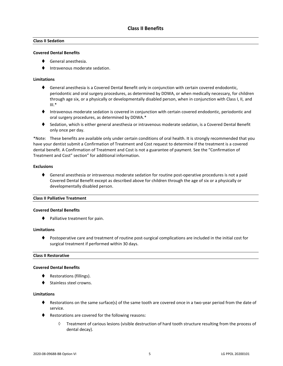#### **Class II Sedation**

#### **Covered Dental Benefits**

- ⧫ General anesthesia.
- ⧫ Intravenous moderate sedation.

#### **Limitations**

- ◆ General anesthesia is a Covered Dental Benefit only in conjunction with certain covered endodontic, periodontic and oral surgery procedures, as determined by DDWA, or when medically necessary, for children through age six, or a physically or developmentally disabled person, when in conjunction with Class I, II, and  $III.*$
- ⧫ Intravenous moderate sedation is covered in conjunction with certain covered endodontic, periodontic and oral surgery procedures, as determined by DDWA.\*
- ◆ Sedation, which is either general anesthesia or intravenous moderate sedation, is a Covered Dental Benefit only once per day.

\*Note: These benefits are available only under certain conditions of oral health. It is strongly recommended that you have your dentist submit a Confirmation of Treatment and Cost request to determine if the treatment is a covered dental benefit. A Confirmation of Treatment and Cost is not a guarantee of payment. See the "Confirmation of Treatment and Cost" section" for additional information.

#### **Exclusions**

♦ General anesthesia or intravenous moderate sedation for routine post-operative procedures is not a paid Covered Dental Benefit except as described above for children through the age of six or a physically or developmentally disabled person.

#### **Class II Palliative Treatment**

#### **Covered Dental Benefits**

⧫ Palliative treatment for pain.

#### **Limitations**

⧫ Postoperative care and treatment of routine post-surgical complications are included in the initial cost for surgical treatment if performed within 30 days.

#### **Class II Restorative**

#### **Covered Dental Benefits**

- ◆ Restorations (fillings).
- Stainless steel crowns.

#### **Limitations**

- ♦ Restorations on the same surface(s) of the same tooth are covered once in a two-year period from the date of service.
- ♦ Restorations are covered for the following reasons:
	- $\Diamond$  Treatment of carious lesions (visible destruction of hard tooth structure resulting from the process of dental decay).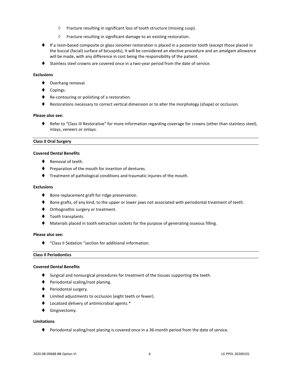- $\Diamond$  Fracture resulting in significant loss of tooth structure (missing cusp).
- $\Diamond$  Fracture resulting in significant damage to an existing restoration.
- ♦ If a resin-based composite or glass ionomer restoration is placed in a posterior tooth (except those placed in the buccal (facial) surface of bicuspids), it will be considered an elective procedure and an amalgam allowance will be made, with any difference in cost being the responsibility of the patient.
- ◆ Stainless steel crowns are covered once in a two-year period from the date of service.

#### **Exclusions**

- ◆ Overhang removal.
- Copings.
- ◆ Re-contouring or polishing of a restoration.
- ♦ Restorations necessary to correct vertical dimension or to alter the morphology (shape) or occlusion.

#### **Please also see:**

⧫ Refer to "Class III Restorative" for more information regarding coverage for crowns (other than stainless steel), inlays, veneers or onlays.

#### **Class II Oral Surgery**

#### **Covered Dental Benefits**

- Removal of teeth.
- ♦ Preparation of the mouth for insertion of dentures.
- ⧫ Treatment of pathological conditions and traumatic injuries of the mouth.

#### **Exclusions**

- ◆ Bone replacement graft for ridge preservation.
- ♦ Bone grafts, of any kind, to the upper or lower jaws not associated with periodontal treatment of teeth.
- ♦ Orthognathic surgery or treatment.
- ◆ Tooth transplants.
- Materials placed in tooth extraction sockets for the purpose of generating osseous filling.

#### **Please also see:**

⧫ "Class II Sedation "section for additional information.

#### **Class II Periodontics**

#### **Covered Dental Benefits**

- ♦ Surgical and nonsurgical procedures for treatment of the tissues supporting the teeth.
- ⧫ Periodontal scaling/root planing.
- ◆ Periodontal surgery.
- ⧫ Limited adjustments to occlusion (eight teeth or fewer).
- ⧫ Localized delivery of antimicrobial agents.\*
- ⧫ Gingivectomy.

#### **Limitations**

♦ Periodontal scaling/root planing is covered once in a 36-month period from the date of service.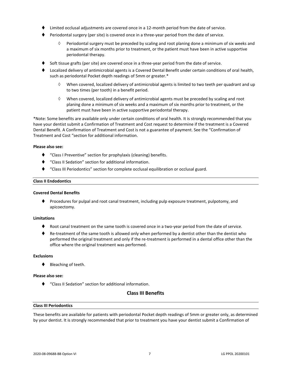- Limited occlusal adjustments are covered once in a 12-month period from the date of service.
- ⧫ Periodontal surgery (per site) is covered once in a three-year period from the date of service.
	- $\Diamond$  Periodontal surgery must be preceded by scaling and root planing done a minimum of six weeks and a maximum of six months prior to treatment, or the patient must have been in active supportive periodontal therapy.
- Soft tissue grafts (per site) are covered once in a three-year period from the date of service.
- ⧫ Localized delivery of antimicrobial agents is a Covered Dental Benefit under certain conditions of oral health, such as periodontal Pocket depth readings of 5mm or greater.\*
	- When covered, localized delivery of antimicrobial agents is limited to two teeth per quadrant and up to two times (per tooth) in a benefit period.
	- $\Diamond$  When covered, localized delivery of antimicrobial agents must be preceded by scaling and root planing done a minimum of six weeks and a maximum of six months prior to treatment, or the patient must have been in active supportive periodontal therapy.

\*Note: Some benefits are available only under certain conditions of oral health. It is strongly recommended that you have your dentist submit a Confirmation of Treatment and Cost request to determine if the treatment is a Covered Dental Benefit. A Confirmation of Treatment and Cost is not a guarantee of payment. See the "Confirmation of Treatment and Cost "section for additional information.

#### **Please also see:**

- ⧫ "Class I Preventive" section for prophylaxis (cleaning) benefits.
- ⧫ "Class II Sedation" section for additional information.
- ⧫ "Class III Periodontics" section for complete occlusal equilibration or occlusal guard.

#### **Class II Endodontics**

#### **Covered Dental Benefits**

⧫ Procedures for pulpal and root canal treatment, including pulp exposure treatment, pulpotomy, and apicoectomy.

#### **Limitations**

- Root canal treatment on the same tooth is covered once in a two-year period from the date of service.
- ♦ Re-treatment of the same tooth is allowed only when performed by a dentist other than the dentist who performed the original treatment and only if the re-treatment is performed in a dental office other than the office where the original treatment was performed.

#### **Exclusions**

⧫ Bleaching of teeth.

#### **Please also see:**

⧫ "Class II Sedation" section for additional information.

#### **Class III Benefits**

#### **Class III Periodontics**

These benefits are available for patients with periodontal Pocket depth readings of 5mm or greater only, as determined by your dentist. It is strongly recommended that prior to treatment you have your dentist submit a Confirmation of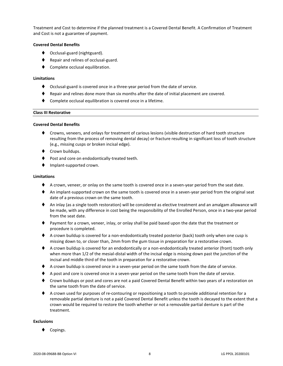Treatment and Cost to determine if the planned treatment is a Covered Dental Benefit. A Confirmation of Treatment and Cost is not a guarantee of payment.

#### **Covered Dental Benefits**

- ◆ Occlusal-guard (nightguard).
- ◆ Repair and relines of occlusal-guard.
- Complete occlusal equilibration.

#### **Limitations**

- ⧫ Occlusal-guard is covered once in a three-year period from the date of service.
- ⧫ Repair and relines done more than six months after the date of initial placement are covered.
- Complete occlusal equilibration is covered once in a lifetime.

#### **Class III Restorative**

#### **Covered Dental Benefits**

- ⧫ Crowns, veneers, and onlays for treatment of carious lesions (visible destruction of hard tooth structure resulting from the process of removing dental decay) or fracture resulting in significant loss of tooth structure (e.g., missing cusps or broken incisal edge).
- ◆ Crown buildups.
- Post and core on endodontically-treated teeth.
- ◆ Implant-supported crown.

#### **Limitations**

- ♦ A crown, veneer, or onlay on the same tooth is covered once in a seven-year period from the seat date.
- ♦ An implant-supported crown on the same tooth is covered once in a seven-year period from the original seat date of a previous crown on the same tooth.
- ◆ An inlay (as a single tooth restoration) will be considered as elective treatment and an amalgam allowance will be made, with any difference in cost being the responsibility of the Enrolled Person, once in a two-year period from the seat date.
- ⧫ Payment for a crown, veneer, inlay, or onlay shall be paid based upon the date that the treatment or procedure is completed.
- ♦ A crown buildup is covered for a non-endodontically treated posterior (back) tooth only when one cusp is missing down to, or closer than, 2mm from the gum tissue in preparation for a restorative crown.
- ♦ A crown buildup is covered for an endodontically or a non-endodontically treated anterior (front) tooth only when more than 1/2 of the mesial-distal width of the incisal edge is missing down past the junction of the incisal and middle third of the tooth in preparation for a restorative crown.
- ◆ A crown buildup is covered once in a seven-year period on the same tooth from the date of service.
- ♦ A post and core is covered once in a seven-year period on the same tooth from the date of service.
- ◆ Crown buildups or post and cores are not a paid Covered Dental Benefit within two years of a restoration on the same tooth from the date of service.
- ◆ A crown used for purposes of re-contouring or repositioning a tooth to provide additional retention for a removable partial denture is not a paid Covered Dental Benefit unless the tooth is decayed to the extent that a crown would be required to restore the tooth whether or not a removable partial denture is part of the treatment.

#### **Exclusions**

Copings.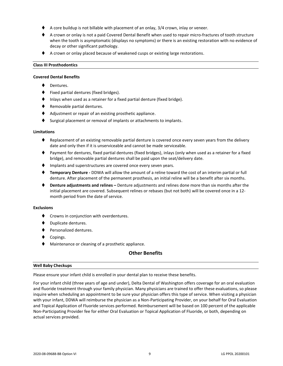- A core buildup is not billable with placement of an onlay, 3/4 crown, inlay or veneer.
- ♦ A crown or onlay is not a paid Covered Dental Benefit when used to repair micro-fractures of tooth structure when the tooth is asymptomatic (displays no symptoms) or there is an existing restoration with no evidence of decay or other significant pathology.
- ◆ A crown or onlay placed because of weakened cusps or existing large restorations.

#### **Class III Prosthodontics**

#### **Covered Dental Benefits**

- Dentures.
- ⧫ Fixed partial dentures (fixed bridges).
- Inlays when used as a retainer for a fixed partial denture (fixed bridge).
- ◆ Removable partial dentures.
- ◆ Adjustment or repair of an existing prosthetic appliance.
- Surgical placement or removal of implants or attachments to implants.

#### **Limitations**

- Replacement of an existing removable partial denture is covered once every seven years from the delivery date and only then if it is unserviceable and cannot be made serviceable.
- ⧫ Payment for dentures, fixed partial dentures (fixed bridges), inlays (only when used as a retainer for a fixed bridge), and removable partial dentures shall be paid upon the seat/delivery date.
- ♦ Implants and superstructures are covered once every seven years.
- ⧫ **Temporary Denture -** DDWA will allow the amount of a reline toward the cost of an interim partial or full denture. After placement of the permanent prosthesis, an initial reline will be a benefit after six months.
- ⧫ **Denture adjustments and relines –** Denture adjustments and relines done more than six months after the initial placement are covered. Subsequent relines or rebases (but not both) will be covered once in a 12 month period from the date of service.

#### **Exclusions**

- ⧫ Crowns in conjunction with overdentures.
- ⧫ Duplicate dentures.
- ⧫ Personalized dentures.
- ◆ Copings.
- ◆ Maintenance or cleaning of a prosthetic appliance.

#### **Other Benefits**

#### **Well Baby Checkups**

Please ensure your infant child is enrolled in your dental plan to receive these benefits.

For your infant child (three years of age and under), Delta Dental of Washington offers coverage for an oral evaluation and fluoride treatment through your family physician. Many physicians are trained to offer these evaluations, so please inquire when scheduling an appointment to be sure your physician offers this type of service. When visiting a physician with your infant, DDWA will reimburse the physician as a Non-Participating Provider, on your behalf for Oral Evaluation and Topical Application of Fluoride services performed. Reimbursement will be based on 100 percent of the applicable Non-Participating Provider fee for either Oral Evaluation or Topical Application of Fluoride, or both, depending on actual services provided.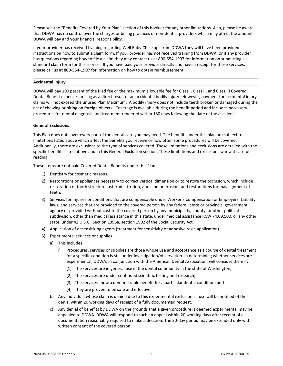Please see the "Benefits Covered by Your Plan" section of this booklet for any other limitations. Also, please be aware that DDWA has no control over the charges or billing practices of non-dentist providers which may affect the amount DDWA will pay and your financial responsibility.

If your provider has received training regarding Well Baby Checkups from DDWA they will have been provided instructions on how to submit a claim form. If your provider has not received training from DDWA, or if any provider has questions regarding how to file a claim they may contact us at 800-554-1907 for information on submitting a standard claim form for this service. If you have paid your provider directly and have a receipt for these services, please call us at 800-554-1907 for information on how to obtain reimbursement.

#### **Accidental Injury**

DDWA will pay 100 percent of the filed fee or the maximum allowable fee for Class I, Class II, and Class III Covered Dental Benefit expenses arising as a direct result of an accidental bodily injury. However, payment for accidental injury claims will not exceed the unused Plan Maximum. A bodily injury does not include teeth broken or damaged during the act of chewing or biting on foreign objects. Coverage is available during the benefit period and includes necessary procedures for dental diagnosis and treatment rendered within 180 days following the date of the accident.

#### **General Exclusions**

This Plan does not cover every part of the dental care you may need. The benefits under this plan are subject to limitations listed above which affect the benefits you receive or how often some procedures will be covered. Additionally, there are exclusions to the type of services covered. These limitations and exclusions are detailed with the specific benefits listed above and in this General Exclusion section. These limitations and exclusions warrant careful reading.

These items are not paid Covered Dental Benefits under this Plan.

- 1) Dentistry for cosmetic reasons.
- 2) Restorations or appliances necessary to correct vertical dimension or to restore the occlusion, which include restoration of tooth structure lost from attrition, abrasion or erosion, and restorations for malalignment of teeth.
- 3) Services for injuries or conditions that are compensable under Worker's Compensation or Employers' Liability laws, and services that are provided to the covered person by any federal, state or provincial government agency or provided without cost to the covered person by any municipality, county, or other political subdivision, other than medical assistance in this state, under medical assistance RCW 74.09.500, or any other state, under 42 U.S.C., Section 1396a, section 1902 of the Social Security Act.
- 4) Application of desensitizing agents (treatment for sensitivity or adhesive resin application).
- 5) Experimental services or supplies.
	- a) This includes:
		- i) Procedures, services or supplies are those whose use and acceptance as a course of dental treatment for a specific condition is still under investigation/observation. In determining whether services are experimental, DDWA, in conjunction with the American Dental Association, will consider them if:
			- (1) The services are in general use in the dental community in the state of Washington;
			- (2) The services are under continued scientific testing and research;
			- (3) The services show a demonstrable benefit for a particular dental condition; and
			- (4) They are proven to be safe and effective.
	- b) Any individual whose claim is denied due to this experimental exclusion clause will be notified of the denial within 20 working days of receipt of a fully documented request.
	- c) Any denial of benefits by DDWA on the grounds that a given procedure is deemed experimental may be appealed to DDWA. DDWA will respond to such an appeal within 20 working days after receipt of all documentation reasonably required to make a decision. The 20-day period may be extended only with written consent of the covered person.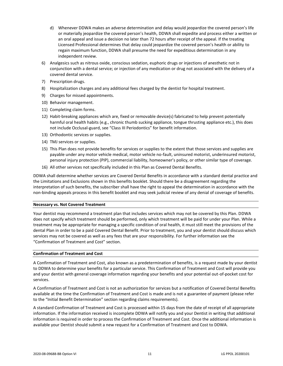- d) Whenever DDWA makes an adverse determination and delay would jeopardize the covered person's life or materially jeopardize the covered person's health, DDWA shall expedite and process either a written or an oral appeal and issue a decision no later than 72 hours after receipt of the appeal. If the treating Licensed Professional determines that delay could jeopardize the covered person's health or ability to regain maximum function, DDWA shall presume the need for expeditious determination in any independent review.
- 6) Analgesics such as nitrous oxide, conscious sedation, euphoric drugs or injections of anesthetic not in conjunction with a dental service; or injection of any medication or drug not associated with the delivery of a covered dental service.
- 7) Prescription drugs.
- 8) Hospitalization charges and any additional fees charged by the dentist for hospital treatment.
- 9) Charges for missed appointments.
- 10) Behavior management.
- 11) Completing claim forms.
- 12) Habit-breaking appliances which are, fixed or removable device(s) fabricated to help prevent potentially harmful oral health habits (e.g., chronic thumb sucking appliance, tongue thrusting appliance etc.), this does not include Occlusal-guard, see "Class III Periodontics" for benefit information.
- 13) Orthodontic services or supplies.
- 14) TMJ services or supplies.
- 15) This Plan does not provide benefits for services or supplies to the extent that those services and supplies are payable under any motor vehicle medical, motor vehicle no-fault, uninsured motorist, underinsured motorist, personal injury protection (PIP), commercial liability, homeowner's policy, or other similar type of coverage.
- 16) All other services not specifically included in this Plan as Covered Dental Benefits.

DDWA shall determine whether services are Covered Dental Benefits in accordance with a standard dental practice and the Limitations and Exclusions shown in this benefits booklet. Should there be a disagreement regarding the interpretation of such benefits, the subscriber shall have the right to appeal the determination in accordance with the non-binding appeals process in this benefit booklet and may seek judicial review of any denial of coverage of benefits.

#### **Necessary vs. Not Covered Treatment**

Your dentist may recommend a treatment plan that includes services which may not be covered by this Plan. DDWA does not specify which treatment should be performed, only which treatment will be paid for under your Plan. While a treatment may be appropriate for managing a specific condition of oral health, it must still meet the provisions of the dental Plan in order to be a paid Covered Dental Benefit. Prior to treatment, you and your dentist should discuss which services may not be covered as well as any fees that are your responsibility. For further information see the "Confirmation of Treatment and Cost" section.

#### **Confirmation of Treatment and Cost**

A Confirmation of Treatment and Cost, also known as a predetermination of benefits, is a request made by your dentist to DDWA to determine your benefits for a particular service. This Confirmation of Treatment and Cost will provide you and your dentist with general coverage information regarding your benefits and your potential out-of-pocket cost for services.

A Confirmation of Treatment and Cost is not an authorization for services but a notification of Covered Dental Benefits available at the time the Confirmation of Treatment and Cost is made and is not a guarantee of payment (please refer to the "Initial Benefit Determination" section regarding claims requirements).

A standard Confirmation of Treatment and Cost is processed within 15 days from the date of receipt of all appropriate information. If the information received is incomplete DDWA will notify you and your Dentist in writing that additional information is required in order to process the Confirmation of Treatment and Cost. Once the additional information is available your Dentist should submit a new request for a Confirmation of Treatment and Cost to DDWA.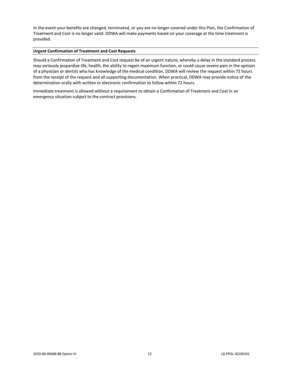In the event your benefits are changed, terminated, or you are no longer covered under this Plan, the Confirmation of Treatment and Cost is no longer valid. DDWA will make payments based on your coverage at the time treatment is provided.

#### **Urgent Confirmation of Treatment and Cost Requests**

Should a Confirmation of Treatment and Cost request be of an urgent nature, whereby a delay in the standard process may seriously jeopardize life, health, the ability to regain maximum function, or could cause severe pain in the opinion of a physician or dentist who has knowledge of the medical condition, DDWA will review the request within 72 hours from the receipt of the request and all supporting documentation. When practical, DDWA may provide notice of the determination orally with written or electronic confirmation to follow within 72 hours.

Immediate treatment is allowed without a requirement to obtain a Confirmation of Treatment and Cost in an emergency situation subject to the contract provisions.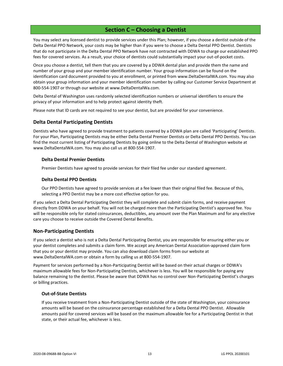#### **Section C – Choosing a Dentist**

<span id="page-15-0"></span>You may select any licensed dentist to provide services under this Plan; however, if you choose a dentist outside of the Delta Dental PPO Network, your costs may be higher than if you were to choose a Delta Dental PPO Dentist. Dentists that do not participate in the Delta Dental PPO Network have not contracted with DDWA to charge our established PPO fees for covered services. As a result, your choice of dentists could substantially impact your out-of-pocket costs.

Once you choose a dentist, tell them that you are covered by a DDWA dental plan and provide them the name and number of your group and your member identification number. Your group information can be found on the identification card document provided to you at enrollment, or printed from www.DeltaDentalWA.com. You may also obtain your group information and your member identification number by calling our Customer Service Department at 800-554-1907 or through our website at www.DeltaDentalWa.com.

Delta Dental of Washington uses randomly selected identification numbers or universal identifiers to ensure the privacy of your information and to help protect against identity theft.

Please note that ID cards are not required to see your dentist, but are provided for your convenience.

#### <span id="page-15-1"></span>**Delta Dental Participating Dentists**

Dentists who have agreed to provide treatment to patients covered by a DDWA plan are called 'Participating' Dentists. For your Plan, Participating Dentists may be either Delta Dental Premier Dentists or Delta Dental PPO Dentists. You can find the most current listing of Participating Dentists by going online to the Delta Dental of Washington website at www.DeltaDentalWA.com. You may also call us at 800-554-1907.

#### **Delta Dental Premier Dentists**

Premier Dentists have agreed to provide services for their filed fee under our standard agreement.

#### **Delta Dental PPO Dentists**

Our PPO Dentists have agreed to provide services at a fee lower than their original filed fee. Because of this, selecting a PPO Dentist may be a more cost effective option for you.

If you select a Delta Dental Participating Dentist they will complete and submit claim forms, and receive payment directly from DDWA on your behalf. You will not be charged more than the Participating Dentist's approved fee. You will be responsible only for stated coinsurances, deductibles, any amount over the Plan Maximum and for any elective care you choose to receive outside the Covered Dental Benefits.

#### <span id="page-15-2"></span>**Non-Participating Dentists**

If you select a dentist who is not a Delta Dental Participating Dentist, you are responsible for ensuring either you or your dentist completes and submits a claim form. We accept any American Dental Association-approved claim form that you or your dentist may provide. You can also download claim forms from our website at www.DeltaDentalWA.com or obtain a form by calling us at 800-554-1907.

Payment for services performed by a Non-Participating Dentist will be based on their actual charges or DDWA's maximum allowable fees for Non-Participating Dentists, whichever is less. You will be responsible for paying any balance remaining to the dentist. Please be aware that DDWA has no control over Non-Participating Dentist's charges or billing practices.

#### **Out-of-State Dentists**

If you receive treatment from a Non-Participating Dentist outside of the state of Washington, your coinsurance amounts will be based on the coinsurance percentage established for a Delta Dental PPO Dentist. Allowable amounts paid for covered services will be based on the maximum allowable fee for a Participating Dentist in that state, or their actual fee, whichever is less.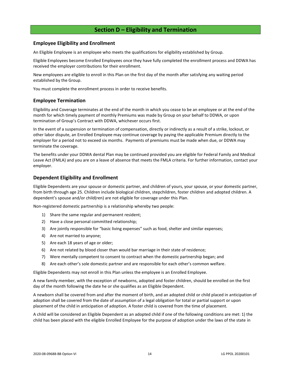#### **Section D – Eligibility and Termination**

#### <span id="page-16-1"></span><span id="page-16-0"></span>**Employee Eligibility and Enrollment**

An Eligible Employee is an employee who meets the qualifications for eligibility established by Group.

Eligible Employees become Enrolled Employees once they have fully completed the enrollment process and DDWA has received the employer contributions for their enrollment.

New employees are eligible to enroll in this Plan on the first day of the month after satisfying any waiting period established by the Group.

You must complete the enrollment process in order to receive benefits.

#### <span id="page-16-2"></span>**Employee Termination**

Eligibility and Coverage terminates at the end of the month in which you cease to be an employee or at the end of the month for which timely payment of monthly Premiums was made by Group on your behalf to DDWA, or upon termination of Group's Contract with DDWA, whichever occurs first.

In the event of a suspension or termination of compensation, directly or indirectly as a result of a strike, lockout, or other labor dispute, an Enrolled Employee may continue coverage by paying the applicable Premium directly to the employer for a period not to exceed six months. Payments of premiums must be made when due, or DDWA may terminate the coverage.

The benefits under your DDWA dental Plan may be continued provided you are eligible for Federal Family and Medical Leave Act (FMLA) and you are on a leave of absence that meets the FMLA criteria. For further information, contact your employer.

#### <span id="page-16-3"></span>**Dependent Eligibility and Enrollment**

Eligible Dependents are your spouse or domestic partner, and children of yours, your spouse, or your domestic partner, from birth through age 25. Children include biological children, stepchildren, foster children and adopted children. A dependent's spouse and/or child(ren) are not eligible for coverage under this Plan.

Non-registered domestic partnership is a relationship whereby two people:

- 1) Share the same regular and permanent resident;
- 2) Have a close personal committed relationship;
- 3) Are jointly responsible for "basic living expenses" such as food, shelter and similar expenses;
- 4) Are not married to anyone;
- 5) Are each 18 years of age or older;
- 6) Are not related by blood closer than would bar marriage in their state of residence;
- 7) Were mentally competent to consent to contract when the domestic partnership began; and
- 8) Are each other's sole domestic partner and are responsible for each other's common welfare.

Eligible Dependents may not enroll in this Plan unless the employee is an Enrolled Employee.

A new family member, with the exception of newborns, adopted and foster children, should be enrolled on the first day of the month following the date he or she qualifies as an Eligible Dependent.

A newborn shall be covered from and after the moment of birth, and an adopted child or child placed in anticipation of adoption shall be covered from the date of assumption of a legal obligation for total or partial support or upon placement of the child in anticipation of adoption. A foster child is covered from the time of placement.

A child will be considered an Eligible Dependent as an adopted child if one of the following conditions are met: 1) the child has been placed with the eligible Enrolled Employee for the purpose of adoption under the laws of the state in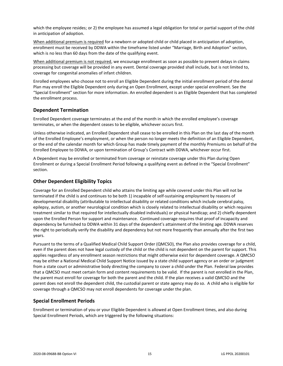which the employee resides; or 2) the employee has assumed a legal obligation for total or partial support of the child in anticipation of adoption.

When additional premium is required for a newborn or adopted child or child placed in anticipation of adoption, enrollment must be received by DDWA within the timeframe listed under "Marriage, Birth and Adoption" section, which is no less than 60 days from the date of the qualifying event.

When additional premium is not required, we encourage enrollment as soon as possible to prevent delays in claims processing but coverage will be provided in any event. Dental coverage provided shall include, but is not limited to, coverage for congenital anomalies of infant children.

Enrolled employees who choose not to enroll an Eligible Dependent during the initial enrollment period of the dental Plan may enroll the Eligible Dependent only during an Open Enrollment, except under special enrollment. See the "Special Enrollment" section for more information. An enrolled dependent is an Eligible Dependent that has completed the enrollment process.

#### <span id="page-17-0"></span>**Dependent Termination**

Enrolled Dependent coverage terminates at the end of the month in which the enrolled employee's coverage terminates, or when the dependent ceases to be eligible, whichever occurs first.

Unless otherwise indicated, an Enrolled Dependent shall cease to be enrolled in this Plan on the last day of the month of the Enrolled Employee's employment, or when the person no longer meets the definition of an Eligible Dependent, or the end of the calendar month for which Group has made timely payment of the monthly Premiums on behalf of the Enrolled Employee to DDWA, or upon termination of Group's Contract with DDWA, whichever occur first.

A Dependent may be enrolled or terminated from coverage or reinstate coverage under this Plan during Open Enrollment or during a Special Enrollment Period following a qualifying event as defined in the "Special Enrollment" section.

#### <span id="page-17-1"></span>**Other Dependent Eligibility Topics**

Coverage for an Enrolled Dependent child who attains the limiting age while covered under this Plan will not be terminated if the child is and continues to be both 1) incapable of self-sustaining employment by reasons of developmental disability (attributable to intellectual disability or related conditions which include cerebral palsy, epilepsy, autism, or another neurological condition which is closely related to intellectual disability or which requires treatment similar to that required for intellectually disabled individuals) or physical handicap; and 2) chiefly dependent upon the Enrolled Person for support and maintenance. Continued coverage requires that proof of incapacity and dependency be furnished to DDWA within 31 days of the dependent's attainment of the limiting age. DDWA reserves the right to periodically verify the disability and dependency but not more frequently than annually after the first two years.

Pursuant to the terms of a Qualified Medical Child Support Order (QMCSO), the Plan also provides coverage for a child, even if the parent does not have legal custody of the child or the child is not dependent on the parent for support. This applies regardless of any enrollment season restrictions that might otherwise exist for dependent coverage. A QMCSO may be either a National Medical Child Support Notice issued by a state child support agency or an order or judgment from a state court or administrative body directing the company to cover a child under the Plan. Federal law provides that a QMCSO must meet certain form and content requirements to be valid. If the parent is not enrolled in the Plan, the parent must enroll for coverage for both the parent and the child. If the plan receives a valid QMCSO and the parent does not enroll the dependent child, the custodial parent or state agency may do so. A child who is eligible for coverage through a QMCSO may not enroll dependents for coverage under the plan.

#### <span id="page-17-2"></span>**Special Enrollment Periods**

Enrollment or termination of you or your Eligible Dependent is allowed at Open Enrollment times, and also during Special Enrollment Periods, which are triggered by the following situations: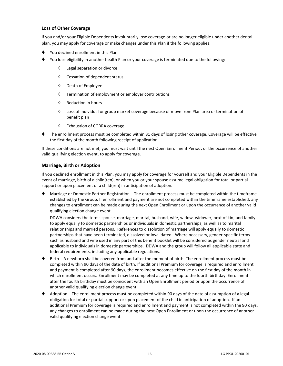#### **Loss of Other Coverage**

If you and/or your Eligible Dependents involuntarily lose coverage or are no longer eligible under another dental plan, you may apply for coverage or make changes under this Plan if the following applies:

- You declined enrollment in this Plan.
- You lose eligibility in another health Plan or your coverage is terminated due to the following:
	- Legal separation or divorce
	- $\Diamond$  Cessation of dependent status
	- $\Diamond$  Death of Employee
	- $\Diamond$  Termination of employment or employer contributions
	- $\Diamond$  Reduction in hours
	- $\Diamond$  Loss of individual or group market coverage because of move from Plan area or termination of benefit plan
	- Exhaustion of COBRA coverage
- ⧫ The enrollment process must be completed within 31 days of losing other coverage. Coverage will be effective the first day of the month following receipt of application.

If these conditions are not met, you must wait until the next Open Enrollment Period, or the occurrence of another valid qualifying election event, to apply for coverage.

#### **Marriage, Birth or Adoption**

If you declined enrollment in this Plan, you may apply for coverage for yourself and your Eligible Dependents in the event of marriage, birth of a child(ren), or when you or your spouse assume legal obligation for total or partial support or upon placement of a child(ren) in anticipation of adoption.

Marriage or Domestic Partner Registration – The enrollment process must be completed within the timeframe established by the Group. If enrollment and payment are not completed within the timeframe established, any changes to enrollment can be made during the next Open Enrollment or upon the occurrence of another valid qualifying election change event.

DDWA considers the terms spouse, marriage, marital, husband, wife, widow, widower, next of kin, and family to apply equally to domestic partnerships or individuals in domestic partnerships, as well as to marital relationships and married persons. References to dissolution of marriage will apply equally to domestic partnerships that have been terminated, dissolved or invalidated. Where necessary, gender-specific terms such as husband and wife used in any part of this benefit booklet will be considered as gender neutral and applicable to individuals in domestic partnerships. DDWA and the group will follow all applicable state and federal requirements, including any applicable regulations.

- ♦ Birth A newborn shall be covered from and after the moment of birth. The enrollment process must be completed within 90 days of the date of birth. If additional Premium for coverage is required and enrollment and payment is completed after 90 days, the enrollment becomes effective on the first day of the month in which enrollment occurs. Enrollment may be completed at any time up to the fourth birthday. Enrollment after the fourth birthday must be coincident with an Open Enrollment period or upon the occurrence of another valid qualifying election change event.
- Adoption The enrollment process must be completed within 90 days of the date of assumption of a legal obligation for total or partial support or upon placement of the child in anticipation of adoption. If an additional Premium for coverage is required and enrollment and payment is not completed within the 90 days, any changes to enrollment can be made during the next Open Enrollment or upon the occurrence of another valid qualifying election change event.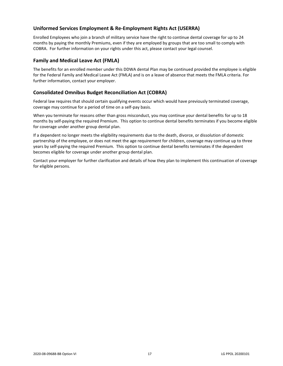#### <span id="page-19-0"></span>**Uniformed Services Employment & Re-Employment Rights Act (USERRA)**

Enrolled Employees who join a branch of military service have the right to continue dental coverage for up to 24 months by paying the monthly Premiums, even if they are employed by groups that are too small to comply with COBRA. For further information on your rights under this act, please contact your legal counsel.

#### <span id="page-19-1"></span>**Family and Medical Leave Act (FMLA)**

The benefits for an enrolled member under this DDWA dental Plan may be continued provided the employee is eligible for the Federal Family and Medical Leave Act (FMLA) and is on a leave of absence that meets the FMLA criteria. For further information, contact your employer.

#### <span id="page-19-2"></span>**Consolidated Omnibus Budget Reconciliation Act (COBRA)**

Federal law requires that should certain qualifying events occur which would have previously terminated coverage, coverage may continue for a period of time on a self-pay basis.

When you terminate for reasons other than gross misconduct, you may continue your dental benefits for up to 18 months by self-paying the required Premium. This option to continue dental benefits terminates if you become eligible for coverage under another group dental plan.

If a dependent no longer meets the eligibility requirements due to the death, divorce, or dissolution of domestic partnership of the employee, or does not meet the age requirement for children, coverage may continue up to three years by self-paying the required Premium. This option to continue dental benefits terminates if the dependent becomes eligible for coverage under another group dental plan.

Contact your employer for further clarification and details of how they plan to implement this continuation of coverage for eligible persons.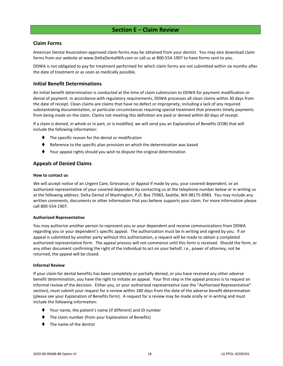#### **Section E – Claim Review**

#### <span id="page-20-1"></span><span id="page-20-0"></span>**Claim Forms**

American Dental Association-approved claim forms may be obtained from your dentist. You may also download claim forms from our website at www.DeltaDentalWA.com or call us at 800-554-1907 to have forms sent to you.

DDWA is not obligated to pay for treatment performed for which claim forms are not submitted within six months after the date of treatment or as soon as medically possible.

#### <span id="page-20-2"></span>**Initial Benefit Determinations**

An initial benefit determination is conducted at the time of claim submission to DDWA for payment modification or denial of payment. In accordance with regulatory requirements, DDWA processes all clean claims within 30 days from the date of receipt. Clean claims are claims that have no defect or impropriety, including a lack of any required substantiating documentation, or particular circumstances requiring special treatment that prevents timely payments from being made on the claim. Claims not meeting this definition are paid or denied within 60 days of receipt.

If a claim is denied, in whole or in part, or is modified, we will send you an Explanation of Benefits (EOB) that will include the following information:

- ⧫ The specific reason for the denial or modification
- ♦ Reference to the specific plan provision on which the determination was based
- ⧫ Your appeal rights should you wish to dispute the original determination

#### <span id="page-20-3"></span>**Appeals of Denied Claims**

#### **How to contact us**

We will accept notice of an Urgent Care, Grievance, or Appeal if made by you, your covered dependent, or an authorized representative of your covered dependent by contacting us at the telephone number below or in writing us at the following address: Delta Dental of Washington, P.O. Box 75983, Seattle, WA 98175-0983. You may include any written comments, documents or other information that you believe supports your claim. For more information please call 800-554-1907.

#### **Authorized Representative**

You may authorize another person to represent you or your dependent and receive communications from DDWA regarding you or your dependent's specific appeal. The authorization must be in writing and signed by you. If an appeal is submitted by another party without this authorization, a request will be made to obtain a completed authorized representative form. The appeal process will not commence until this form is received. Should the form, or any other document confirming the right of the individual to act on your behalf, i.e., power of attorney, not be returned, the appeal will be closed.

#### **Informal Review**

If your claim for dental benefits has been completely or partially denied, or you have received any other adverse benefit determination, you have the right to initiate an appeal. Your first step in the appeal process is to request an informal review of the decision. Either you, or your authorized representative (see the "Authorized Representative" section), must submit your request for a review within 180 days from the date of the adverse benefit determination (please see your Explanation of Benefits form). A request for a review may be made orally or in writing and must include the following information:

- ⧫ Your name, the patient's name (if different) and ID number
- The claim number (from your Explanation of Benefits)
- ⧫ The name of the dentist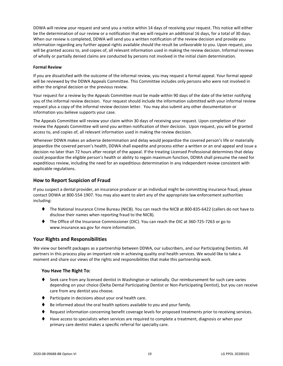DDWA will review your request and send you a notice within 14 days of receiving your request. This notice will either be the determination of our review or a notification that we will require an additional 16 days, for a total of 30 days. When our review is completed, DDWA will send you a written notification of the review decision and provide you information regarding any further appeal rights available should the result be unfavorable to you. Upon request, you will be granted access to, and copies of, all relevant information used in making the review decision. Informal reviews of wholly or partially denied claims are conducted by persons not involved in the initial claim determination.

#### **Formal Review**

If you are dissatisfied with the outcome of the informal review, you may request a formal appeal. Your formal appeal will be reviewed by the DDWA Appeals Committee. This Committee includes only persons who were not involved in either the original decision or the previous review.

Your request for a review by the Appeals Committee must be made within 90 days of the date of the letter notifying you of the informal review decision. Your request should include the information submitted with your informal review request plus a copy of the informal review decision letter. You may also submit any other documentation or information you believe supports your case.

The Appeals Committee will review your claim within 30 days of receiving your request. Upon completion of their review the Appeals Committee will send you written notification of their decision. Upon request, you will be granted access to, and copies of, all relevant information used in making the review decision.

Whenever DDWA makes an adverse determination and delay would jeopardize the covered person's life or materially jeopardize the covered person's health, DDWA shall expedite and process either a written or an oral appeal and issue a decision no later than 72 hours after receipt of the appeal. If the treating Licensed Professional determines that delay could jeopardize the eligible person's health or ability to regain maximum function, DDWA shall presume the need for expeditious review, including the need for an expeditious determination in any independent review consistent with applicable regulations.

#### <span id="page-21-0"></span>**How to Report Suspicion of Fraud**

If you suspect a dental provider, an insurance producer or an individual might be committing insurance fraud, please contact DDWA at 800-554-1907. You may also want to alert any of the appropriate law enforcement authorities including:

- ⧫ The National Insurance Crime Bureau (NICB). You can reach the NICB at 800-835-6422 (callers do not have to disclose their names when reporting fraud to the NICB).
- ⧫ The Office of the Insurance Commissioner (OIC). You can reach the OIC at 360-725-7263 or go to www.insurance.wa.gov for more information.

#### <span id="page-21-1"></span>**Your Rights and Responsibilities**

We view our benefit packages as a partnership between DDWA, our subscribers, and our Participating Dentists. All partners in this process play an important role in achieving quality oral health services. We would like to take a moment and share our views of the rights and responsibilities that make this partnership work.

#### **You Have The Right To:**

- ♦ Seek care from any licensed dentist in Washington or nationally. Our reimbursement for such care varies depending on your choice (Delta Dental Participating Dentist or Non-Participating Dentist), but you can receive care from any dentist you choose.
- ⧫ Participate in decisions about your oral health care.
- Be informed about the oral health options available to you and your family.
- ♦ Request information concerning benefit coverage levels for proposed treatments prior to receiving services.
- ⧫ Have access to specialists when services are required to complete a treatment, diagnosis or when your primary care dentist makes a specific referral for specialty care.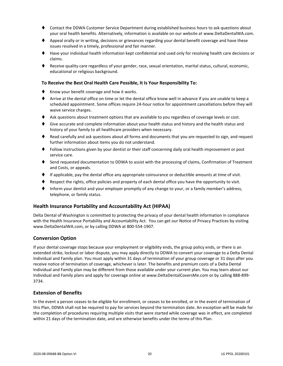- ⧫ Contact the DDWA Customer Service Department during established business hours to ask questions about your oral health benefits. Alternatively, information is available on our website at www.DeltaDentalWA.com.
- ♦ Appeal orally or in writing, decisions or grievances regarding your dental benefit coverage and have these issues resolved in a timely, professional and fair manner.
- ⧫ Have your individual health information kept confidential and used only for resolving health care decisions or claims.
- ⧫ Receive quality care regardless of your gender, race, sexual orientation, marital status, cultural, economic, educational or religious background.

#### **To Receive the Best Oral Health Care Possible, It Is Your Responsibility To:**

- ♦ Know your benefit coverage and how it works.
- ⧫ Arrive at the dental office on time or let the dental office know well in advance if you are unable to keep a scheduled appointment. Some offices require 24-hour notice for appointment cancellations before they will waive service charges.
- ♦ Ask questions about treatment options that are available to you regardless of coverage levels or cost.
- ♦ Give accurate and complete information about your health status and history and the health status and history of your family to all healthcare providers when necessary.
- ♦ Read carefully and ask questions about all forms and documents that you are requested to sign, and request further information about items you do not understand.
- ⧫ Follow instructions given by your dentist or their staff concerning daily oral health improvement or post service care.
- ♦ Send requested documentation to DDWA to assist with the processing of claims, Confirmation of Treatment and Costs, or appeals.
- ⧫ If applicable, pay the dental office any appropriate coinsurance or deductible amounts at time of visit.
- Respect the rights, office policies and property of each dental office you have the opportunity to visit.
- Inform your dentist and your employer promptly of any change to your, or a family member's address, telephone, or family status.

#### <span id="page-22-0"></span>**Health Insurance Portability and Accountability Act (HIPAA)**

Delta Dental of Washington is committed to protecting the privacy of your dental health information in compliance with the Health Insurance Portability and Accountability Act. You can get our Notice of Privacy Practices by visiting www.DeltaDentalWA.com, or by calling DDWA at 800-554-1907.

#### <span id="page-22-1"></span>**Conversion Option**

If your dental coverage stops because your employment or eligibility ends, the group policy ends, or there is an extended strike, lockout or labor dispute, you may apply directly to DDWA to convert your coverage to a Delta Dental Individual and Family plan. You must apply within 31 days of termination of your group coverage or 31 days after you receive notice of termination of coverage, whichever is later. The benefits and premium costs of a Delta Dental Individual and Family plan may be different from those available under your current plan. You may learn about our Individual and Family plans and apply for coverage online at www.DeltaDentalCoversMe.com or by calling 888-899- 3734.

#### <span id="page-22-2"></span>**Extension of Benefits**

In the event a person ceases to be eligible for enrollment, or ceases to be enrolled, or in the event of termination of this Plan, DDWA shall not be required to pay for services beyond the termination date. An exception will be made for the completion of procedures requiring multiple visits that were started while coverage was in effect, are completed within 21 days of the termination date, and are otherwise benefits under the terms of this Plan.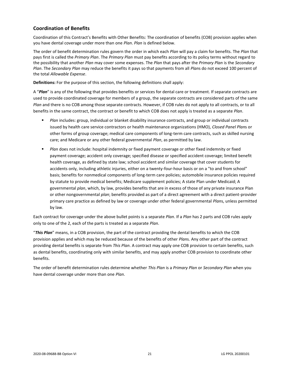#### <span id="page-23-0"></span>**Coordination of Benefits**

Coordination of this Contract's Benefits with Other Benefits: The coordination of benefits (COB) provision applies when you have dental coverage under more than one *Plan*. *Plan* is defined below.

The order of benefit determination rules govern the order in which each *Plan* will pay a claim for benefits. The *Plan* that pays first is called the *Primary Plan*. The *Primary Plan* must pay benefits according to its policy terms without regard to the possibility that another *Plan* may cover some expenses. The *Plan* that pays after the *Primary Plan* is the *Secondary Plan*. The *Secondary Plan* may reduce the benefits it pays so that payments from all *Plan*s do not exceed 100 percent of the total *Allowable Expense*.

**Definitions:** For the purpose of this section, the following definitions shall apply:

A "*Plan*" is any of the following that provides benefits or services for dental care or treatment. If separate contracts are used to provide coordinated coverage for members of a group, the separate contracts are considered parts of the same *Plan* and there is no COB among those separate contracts. However, if COB rules do not apply to all contracts, or to all benefits in the same contract, the contract or benefit to which COB does not apply is treated as a separate *Plan*.

- *Plan* includes: group, individual or blanket disability insurance contracts, and group or individual contracts issued by health care service contractors or health maintenance organizations (HMO), *Closed Panel Plan*s or other forms of group coverage; medical care components of long-term care contracts, such as skilled nursing care; and Medicare or any other federal governmental *Plan*, as permitted by law.
- **■** *Plan* does not include: hospital indemnity or fixed payment coverage or other fixed indemnity or fixed payment coverage; accident only coverage; specified disease or specified accident coverage; limited benefit health coverage, as defined by state law; school accident and similar coverage that cover students for accidents only, including athletic injuries, either on a twenty-four-hour basis or on a "to and from school" basis; benefits for nonmedical components of long-term care policies; automobile insurance policies required by statute to provide medical benefits; Medicare supplement policies; A state Plan under Medicaid; A governmental *plan*, which, by law, provides benefits that are in excess of those of any private insurance Plan or other nongovernmental *plan*; benefits provided as part of a direct agreement with a direct patient-provider primary care practice as defined by law or coverage under other federal governmental *Plan*s, unless permitted by law.

Each contract for coverage under the above bullet points is a separate *Plan*. If a *Plan* has 2 parts and COB rules apply only to one of the 2, each of the parts is treated as a separate *Plan*.

"*This Plan*" means, in a COB provision, the part of the contract providing the dental benefits to which the COB provision applies and which may be reduced because of the benefits of other *Plan*s. Any other part of the contract providing dental benefits is separate from *This Plan*. A contract may apply one COB provision to certain benefits, such as dental benefits, coordinating only with similar benefits, and may apply another COB provision to coordinate other benefits.

The order of benefit determination rules determine whether *This Plan* is a *Primary Plan* or *Secondary Plan* when you have dental coverage under more than one *Plan*.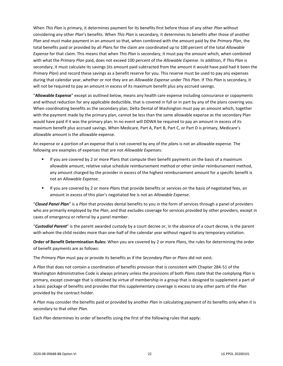When *This Plan* is primary, it determines payment for its benefits first before those of any other *Plan* without considering any other *Plan*'s benefits. When *This Plan* is secondary, it determines its benefits after those of another *Plan* and must make payment in an amount so that, when combined with the amount paid by the *Primary Plan*, the total benefits paid or provided by all *Plan*s for the claim are coordinated up to 100 percent of the total *Allowable Expense* for that claim. This means that when *This Plan* is secondary, it must pay the amount which, when combined with what the *Primary Plan* paid, does not exceed 100 percent of the *Allowable Expense*. In addition, if *This Plan* is secondary, it must calculate its savings (its amount paid subtracted from the amount it would have paid had it been the *Primary Plan*) and record these savings as a benefit reserve for you. This reserve must be used to pay any expenses during that calendar year, whether or not they are an *Allowable Expense* under *This Plan*. If *This Plan* is secondary, it will not be required to pay an amount in excess of its maximum benefit plus any accrued savings.

"**Allowable Expense**" except as outlined below, means any health care expense including coinsurance or copayments and without reduction for any applicable deductible, that is covered in full or in part by any of the plans covering you. When coordinating benefits as the secondary plan, Delta Dental of Washington must pay an amount which, together with the payment made by the primary plan, cannot be less than the same allowable expense as the secondary Plan would have paid if it was the primary plan. In no event will DDWA be required to pay an amount in excess of its maximum benefit plus accrued savings. When Medicare, Part A, Part B, Part C, or Part D is primary, Medicare's allowable amount is the allowable expense.

An expense or a portion of an expense that is not covered by any of the *plan*s is not an allowable expense. The following are examples of expenses that are not *Allowable Expense*s:

- **■** If you are covered by 2 or more Plans that compute their benefit payments on the basis of a maximum allowable amount, relative value schedule reimbursement method or other similar reimbursement method, any amount charged by the provider in excess of the highest reimbursement amount for a specific benefit is not an *Allowable Expense*.
- If you are covered by 2 or more *Plan*s that provide benefits or services on the basis of negotiated fees, an amount in excess of this plan's negotiated fee is not an *Allowable Expense*.

"*Closed Panel Plan*" is a *Plan* that provides dental benefits to you in the form of services through a panel of providers who are primarily employed by the *Plan*, and that excludes coverage for services provided by other providers, except in cases of emergency or referral by a panel member.

"*Custodial Parent*" is the parent awarded custody by a court decree or, in the absence of a court decree, is the parent with whom the child resides more than one-half of the calendar year without regard to any temporary visitation.

**Order of Benefit Determination Rules:** When you are covered by 2 or more *Plan*s, the rules for determining the order of benefit payments are as follows:

The *Primary Plan* must pay or provide its benefits as if the *Secondary Plan* or *Plans* did not exist.

A *Plan* that does not contain a coordination of benefits provision that is consistent with Chapter 284-51 of the Washington Administrative Code is always primary unless the provisions of both *Plan*s state that the complying *Plan* is primary, except coverage that is obtained by virtue of membership in a group that is designed to supplement a part of a basic package of benefits and provides that this supplementary coverage is excess to any other parts of the *Plan* provided by the contract holder.

A *Plan* may consider the benefits paid or provided by another *Plan* in calculating payment of its benefits only when it is secondary to that other *Plan*.

Each *Plan* determines its order of benefits using the first of the following rules that apply: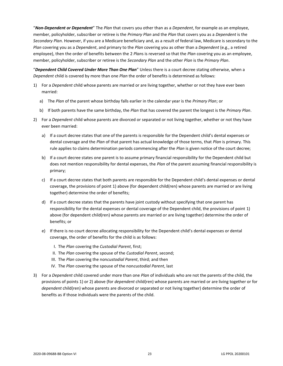"*Non-Dependent or Dependent*" The *Plan* that covers you other than as a *Dependent*, for example as an employee, member, policyholder, subscriber or retiree is the *Primary Plan* and the *Plan* that covers you as a *Dependent* is the *Secondary Plan*. However, if you are a Medicare beneficiary and, as a result of federal law, Medicare is secondary to the *Plan* covering you as a *Dependent*, and primary to the *Plan* covering you as other than a *Dependent* (e.g., a retired employee), then the order of benefits between the 2 *Plan*s is reversed so that the *Plan* covering you as an employee, member, policyholder, subscriber or retiree is the *Secondary Plan* and the other *Plan* is the *Primary Plan*.

"*Dependent Child Covered Under More Than One Plan*" Unless there is a court decree stating otherwise, when a *Dependent* child is covered by more than one *Plan* the order of benefits is determined as follows:

- 1) For a *Dependent* child whose parents are married or are living together, whether or not they have ever been married:
	- a) The *Plan* of the parent whose birthday falls earlier in the calendar year is the *Primary Plan*; or
	- b) If both parents have the same birthday, the *Plan* that has covered the parent the longest is the *Primary Plan*.
- 2) For a *Dependent* child whose parents are divorced or separated or not living together, whether or not they have ever been married:
	- a) If a court decree states that one of the parents is responsible for the Dependent child's dental expenses or dental coverage and the *Plan* of that parent has actual knowledge of those terms, that *Plan* is primary. This rule applies to claims determination periods commencing after the *Plan* is given notice of the court decree;
	- b) If a court decree states one parent is to assume primary financial responsibility for the Dependent child but does not mention responsibility for dental expenses, the *Plan* of the parent assuming financial responsibility is primary;
	- c) If a court decree states that both parents are responsible for the Dependent child's dental expenses or dental coverage, the provisions of point 1) above (for dependent child(ren) whose parents are married or are living together) determine the order of benefits;
	- d) If a court decree states that the parents have joint custody without specifying that one parent has responsibility for the dental expenses or dental coverage of the Dependent child, the provisions of point 1) above (for dependent child(ren) whose parents are married or are living together) determine the order of benefits; or
	- e) If there is no court decree allocating responsibility for the Dependent child's dental expenses or dental coverage, the order of benefits for the child is as follows:
		- I. The *Plan* covering the *Custodial Parent*, first;
		- II. The *Plan* covering the spouse of the *Custodial Parent*, second;
		- III. The *Plan* covering the non*custodial Parent*, third; and then
		- IV. The *Plan* covering the spouse of the non*custodial Parent*, last
- 3) For a *Dependent* child covered under more than one *Plan* of individuals who are not the parents of the child, the provisions of points 1) or 2) above (for *dependent* child(ren) whose parents are married or are living together or for *dependent* child(ren) whose parents are divorced or separated or not living together) determine the order of benefits as if those individuals were the parents of the child.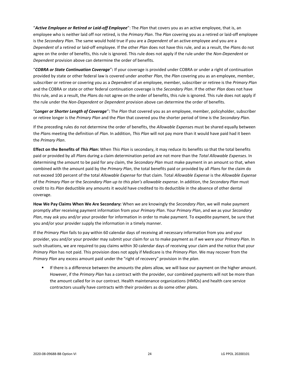"*Active Employee or Retired or Laid-off Employee*": The *Plan* that covers you as an active employee, that is, an employee who is neither laid off nor retired, is the *Primary Plan*. The *Plan* covering you as a retired or laid-off employee is the *Secondary Plan*. The same would hold true if you are a *Dependent* of an active employee and you are a *Dependent* of a retired or laid-off employee. If the other *Plan* does not have this rule, and as a result, the *Plan*s do not agree on the order of benefits, this rule is ignored. This rule does not apply if the rule under the *Non-Dependent* or *Dependent* provision above can determine the order of benefits.

"*COBRA or State Continuation Coverage*"**:** If your coverage is provided under COBRA or under a right of continuation provided by state or other federal law is covered under another *Plan*, the *Plan* covering you as an employee, member, subscriber or retiree or covering you as a *Dependent* of an employee, member, subscriber or retiree is the *Primary Plan* and the COBRA or state or other federal continuation coverage is the *Secondary Plan*. If the other *Plan* does not have this rule, and as a result, the *Plan*s do not agree on the order of benefits, this rule is ignored. This rule does not apply if the rule under the *Non-Dependent* or *Dependent* provision above can determine the order of benefits.

"*Longer or Shorter Length of Coverage*"**:** The *Plan* that covered you as an employee, member, policyholder, subscriber or retiree longer is the *Primary Plan* and the *Plan* that covered you the shorter period of time is the *Secondary Plan*.

If the preceding rules do not determine the order of benefits, the *Allowable Expense*s must be shared equally between the *Plan*s meeting the definition of *Plan*. In addition, *This Plan* will not pay more than it would have paid had it been the *Primary Plan*.

**Effect on the Benefits of** *This Plan***:** When *This Plan* is secondary, it may reduce its benefits so that the total benefits paid or provided by all *Plan*s during a claim determination period are not more than the *Total Allowable Expenses*. In determining the amount to be paid for any claim, the *Secondary Plan* must make payment in an amount so that, when combined with the amount paid by the *Primary Plan*, the total benefits paid or provided by all *Plan*s for the claim do not exceed 100 percent of the total *Allowable Expense* for that claim. Total *Allowable Expense* is the *Allowable Expense* of the *Primary Plan* or the *Secondary Plan up to this plan's allowable expense*. In addition, the *Secondary Plan* must credit to its *Plan* deductible any amounts it would have credited to its deductible in the absence of other dental coverage.

**How We Pay Claims When We Are Secondary:** When we are knowingly the *Secondary Plan*, we will make payment promptly after receiving payment information from your *Primary Plan*. Your *Primary Plan*, and we as your *Secondary Plan*, may ask you and/or your provider for information in order to make payment. To expedite payment, be sure that you and/or your provider supply the information in a timely manner.

If the *Primary Plan* fails to pay within 60 calendar days of receiving all necessary information from you and your provider, you and/or your provider may submit your claim for us to make payment as if we were your *Primary Plan*. In such situations, we are required to pay claims within 30 calendar days of receiving your claim and the notice that your *Primary Plan* has not paid. This provision does not apply if Medicare is the *Primary Plan*. We may recover from the *Primary Plan* any excess amount paid under the "right of recovery" provision in the *plan*.

If there is a difference between the amounts the *plans* allow, we will base our payment on the higher amount. However, if the *Primary Plan* has a contract with the provider, our combined payments will not be more than the amount called for in our contract. Health maintenance organizations (HMOs) and health care service contractors usually have contracts with their providers as do some other *plan*s.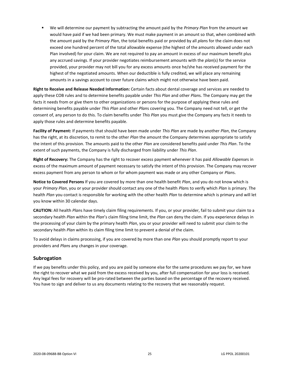▪ We will determine our payment by subtracting the amount paid by the *Primary Plan* from the amount we would have paid if we had been primary. We must make payment in an amount so that, when combined with the amount paid by the *Primary Plan*, the total benefits paid or provided by all *plan*s for the claim does not exceed one hundred percent of the total allowable expense (the highest of the amounts allowed under each Plan involved) for your claim. We are not required to pay an amount in excess of our maximum benefit plus any accrued savings. If your provider negotiates reimbursement amounts with the *plan*(s) for the service provided, your provider may not bill you for any excess amounts once he/she has received payment for the highest of the negotiated amounts. When our deductible is fully credited, we will place any remaining amounts in a savings account to cover future claims which might not otherwise have been paid.

**Right to Receive and Release Needed Information:** Certain facts about dental coverage and services are needed to apply these COB rules and to determine benefits payable under *This Plan* and other *Plan*s. The Company may get the facts it needs from or give them to other organizations or persons for the purpose of applying these rules and determining benefits payable under *This Plan* and other *Plan*s covering you. The Company need not tell, or get the consent of, any person to do this. To claim benefits under *This Plan* you must give the Company any facts it needs to apply those rules and determine benefits payable.

**Facility of Payment:** If payments that should have been made under *This Plan* are made by another *Plan*, the Company has the right, at its discretion, to remit to the other *Plan* the amount the Company determines appropriate to satisfy the intent of this provision. The amounts paid to the other *Plan* are considered benefits paid under *This Plan*. To the extent of such payments, the Company is fully discharged from liability under *This Plan*.

**Right of Recovery:** The Company has the right to recover excess payment whenever it has paid *Allowable Expense*s in excess of the maximum amount of payment necessary to satisfy the intent of this provision. The Company may recover excess payment from any person to whom or for whom payment was made or any other Company or *Plan*s.

**Notice to Covered Persons** If you are covered by more than one health benefit *Plan*, and you do not know which is your *Primary Plan*, you or your provider should contact any one of the health *Plan*s to verify which *Plan* is primary. The health *Plan* you contact is responsible for working with the other health *Plan* to determine which is primary and will let you know within 30 calendar days.

**CAUTION:** All health *Plan*s have timely claim filing requirements. If you, or your provider, fail to submit your claim to a secondary health *Plan* within the *Plan*'s claim filing time limit, the *Plan* can deny the claim. If you experience delays in the processing of your claim by the primary health *Plan*, you or your provider will need to submit your claim to the secondary health *Plan* within its claim filing time limit to prevent a denial of the claim.

To avoid delays in claims processing, if you are covered by more than one *Plan* you should promptly report to your providers and *Plan*s any changes in your coverage.

#### <span id="page-27-0"></span>**Subrogation**

If we pay benefits under this policy, and you are paid by someone else for the same procedures we pay for, we have the right to recover what we paid from the excess received by you, after full compensation for your loss is received. Any legal fees for recovery will be pro-rated between the parties based on the percentage of the recovery received. You have to sign and deliver to us any documents relating to the recovery that we reasonably request.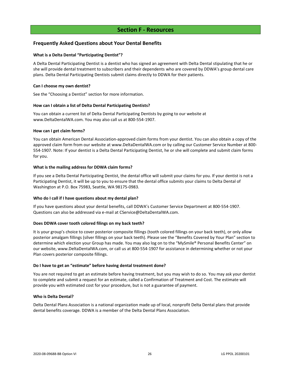#### **Section F - Resources**

#### <span id="page-28-1"></span><span id="page-28-0"></span>**Frequently Asked Questions about Your Dental Benefits**

#### **What is a Delta Dental "Participating Dentist"?**

A Delta Dental Participating Dentist is a dentist who has signed an agreement with Delta Dental stipulating that he or she will provide dental treatment to subscribers and their dependents who are covered by DDWA's group dental care plans. Delta Dental Participating Dentists submit claims directly to DDWA for their patients.

#### **Can I choose my own dentist?**

See the "Choosing a Dentist" section for more information.

#### **How can I obtain a list of Delta Dental Participating Dentists?**

You can obtain a current list of Delta Dental Participating Dentists by going to our website at www.DeltaDentalWA.com. You may also call us at 800-554-1907.

#### **How can I get claim forms?**

You can obtain American Dental Association-approved claim forms from your dentist. You can also obtain a copy of the approved claim form from our website at www.DeltaDentalWA.com or by calling our Customer Service Number at 800- 554-1907. Note: If your dentist is a Delta Dental Participating Dentist, he or she will complete and submit claim forms for you.

#### **What is the mailing address for DDWA claim forms?**

If you see a Delta Dental Participating Dentist, the dental office will submit your claims for you. If your dentist is not a Participating Dentist, it will be up to you to ensure that the dental office submits your claims to Delta Dental of Washington at P.O. Box 75983, Seattle, WA 98175-0983.

#### **Who do I call if I have questions about my dental plan?**

If you have questions about your dental benefits, call DDWA's Customer Service Department at 800-554-1907. Questions can also be addressed via e-mail at CService@DeltaDentalWA.com.

#### **Does DDWA cover tooth colored filings on my back teeth?**

It is your group's choice to cover posterior composite fillings (tooth colored fillings on your back teeth), or only allow posterior amalgam fillings (silver fillings on your back teeth). Please see the "Benefits Covered by Your Plan" section to determine which election your Group has made. You may also log on to the "MySmile® Personal Benefits Center" on our website, www.DeltaDentalWA.com, or call us at 800-554-1907 for assistance in determining whether or not your Plan covers posterior composite fillings.

#### **Do I have to get an "estimate" before having dental treatment done?**

You are not required to get an estimate before having treatment, but you may wish to do so. You may ask your dentist to complete and submit a request for an estimate, called a Confirmation of Treatment and Cost. The estimate will provide you with estimated cost for your procedure, but is not a guarantee of payment.

#### **Who is Delta Dental?**

Delta Dental Plans Association is a national organization made up of local, nonprofit Delta Dental plans that provide dental benefits coverage. DDWA is a member of the Delta Dental Plans Association.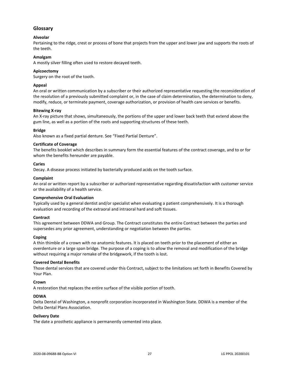#### <span id="page-29-0"></span>**Glossary**

#### **Alveolar**

Pertaining to the ridge, crest or process of bone that projects from the upper and lower jaw and supports the roots of the teeth.

#### **Amalgam**

A mostly silver filling often used to restore decayed teeth.

#### **Apicoectomy**

Surgery on the root of the tooth.

#### **Appeal**

An oral or written communication by a subscriber or their authorized representative requesting the reconsideration of the resolution of a previously submitted complaint or, in the case of claim determination, the determination to deny, modify, reduce, or terminate payment, coverage authorization, or provision of health care services or benefits.

#### **Bitewing X-ray**

An X-ray picture that shows, simultaneously, the portions of the upper and lower back teeth that extend above the gum line, as well as a portion of the roots and supporting structures of these teeth.

#### **Bridge**

Also known as a fixed partial denture. See "Fixed Partial Denture".

#### **Certificate of Coverage**

The benefits booklet which describes in summary form the essential features of the contract coverage, and to or for whom the benefits hereunder are payable.

#### **Caries**

Decay. A disease process initiated by bacterially produced acids on the tooth surface.

#### **Complaint**

An oral or written report by a subscriber or authorized representative regarding dissatisfaction with customer service or the availability of a health service.

#### **Comprehensive Oral Evaluation**

Typically used by a general dentist and/or specialist when evaluating a patient comprehensively. It is a thorough evaluation and recording of the extraoral and intraoral hard and soft tissues.

#### **Contract**

This agreement between DDWA and Group. The Contract constitutes the entire Contract between the parties and supersedes any prior agreement, understanding or negotiation between the parties.

#### **Coping**

A thin thimble of a crown with no anatomic features. It is placed on teeth prior to the placement of either an overdenture or a large span bridge. The purpose of a coping is to allow the removal and modification of the bridge without requiring a major remake of the bridgework, if the tooth is lost.

#### **Covered Dental Benefits**

Those dental services that are covered under this Contract, subject to the limitations set forth in Benefits Covered by Your Plan.

#### **Crown**

A restoration that replaces the entire surface of the visible portion of tooth.

#### **DDWA**

Delta Dental of Washington, a nonprofit corporation incorporated in Washington State. DDWA is a member of the Delta Dental Plans Association.

#### **Delivery Date**

The date a prosthetic appliance is permanently cemented into place.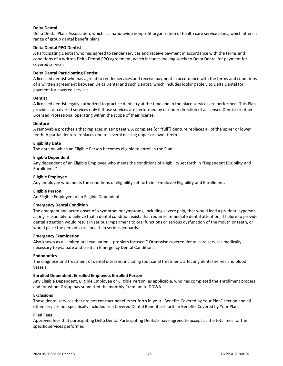#### **Delta Dental**

Delta Dental Plans Association, which is a nationwide nonprofit organization of health care service plans, which offers a range of group dental benefit plans.

#### **Delta Dental PPO Dentist**

A Participating Dentist who has agreed to render services and receive payment in accordance with the terms and conditions of a written Delta Dental PPO agreement, which includes looking solely to Delta Dental for payment for covered services.

#### **Delta Dental Participating Dentist**

A licensed dentist who has agreed to render services and receive payment in accordance with the terms and conditions of a written agreement between Delta Dental and such Dentist, which includes looking solely to Delta Dental for payment for covered services.

#### **Dentist**

A licensed dentist legally authorized to practice dentistry at the time and in the place services are performed. This Plan provides for covered services only if those services are performed by or under direction of a licensed Dentist or other Licensed Professional operating within the scope of their license.

#### **Denture**

A removable prosthesis that replaces missing teeth. A complete (or "full") denture replaces all of the upper or lower teeth. A partial denture replaces one to several missing upper or lower teeth.

#### **Eligibility Date**

The date on which an Eligible Person becomes eligible to enroll in the Plan.

#### **Eligible Dependent**

Any dependent of an Eligible Employee who meets the conditions of eligibility set forth in "Dependent Eligibility and Enrollment."

#### **Eligible Employee**

Any employee who meets the conditions of eligibility set forth in "Employee Eligibility and Enrollment.

#### **Eligible Person**

An Eligible Employee or an Eligible Dependent.

#### **Emergency Dental Condition**

The emergent and acute onset of a symptom or symptoms, including severe pain, that would lead a prudent layperson acting reasonably to believe that a dental condition exists that requires immediate dental attention, if failure to provide dental attention would result in serious impairment to oral functions or serious dysfunction of the mouth or teeth, or would place the person's oral health in serious jeopardy.

#### **Emergency Examination**

Also known as a "limited oral evaluation – problem focused." Otherwise covered dental care services medically necessary to evaluate and treat an Emergency Dental Condition.

#### **Endodontics**

The diagnosis and treatment of dental diseases, including root canal treatment, affecting dental nerves and blood vessels.

#### **Enrolled Dependent, Enrolled Employee, Enrolled Person**

Any Eligible Dependent, Eligible Employee or Eligible Person, as applicable, who has completed the enrollment process and for whom Group has submitted the monthly Premium to DDWA.

#### **Exclusions**

Those dental services that are not contract benefits set forth in your "Benefits Covered by Your Plan" section and all other services not specifically included as a Covered Dental Benefit set forth in Benefits Covered by Your Plan.

#### **Filed Fees**

Approved fees that participating Delta Dental Participating Dentists have agreed to accept as the total fees for the specific services performed.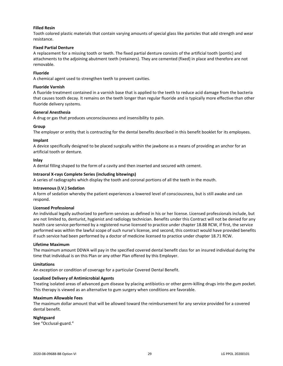#### **Filled Resin**

Tooth colored plastic materials that contain varying amounts of special glass like particles that add strength and wear resistance.

#### **Fixed Partial Denture**

A replacement for a missing tooth or teeth. The fixed partial denture consists of the artificial tooth (pontic) and attachments to the adjoining abutment teeth (retainers). They are cemented (fixed) in place and therefore are not removable.

#### **Fluoride**

A chemical agent used to strengthen teeth to prevent cavities.

#### **Fluoride Varnish**

A fluoride treatment contained in a varnish base that is applied to the teeth to reduce acid damage from the bacteria that causes tooth decay. It remains on the teeth longer than regular fluoride and is typically more effective than other fluoride delivery systems.

#### **General Anesthesia**

A drug or gas that produces unconsciousness and insensibility to pain.

#### **Group**

The employer or entity that is contracting for the dental benefits described in this benefit booklet for its employees.

#### **Implant**

A device specifically designed to be placed surgically within the jawbone as a means of providing an anchor for an artificial tooth or denture.

#### **Inlay**

A dental filling shaped to the form of a cavity and then inserted and secured with cement.

#### **Intraoral X-rays Complete Series (including bitewings)**

A series of radiographs which display the tooth and coronal portions of all the teeth in the mouth.

#### **Intravenous (I.V.) Sedation**

A form of sedation whereby the patient experiences a lowered level of consciousness, but is still awake and can respond.

#### **Licensed Professional**

An individual legally authorized to perform services as defined in his or her license. Licensed professionals include, but are not limited to, denturist, hygienist and radiology technician. Benefits under this Contract will not be denied for any health care service performed by a registered nurse licensed to practice under chapter 18.88 RCW, if first, the service performed was within the lawful scope of such nurse's license, and second, this contract would have provided benefits if such service had been performed by a doctor of medicine licensed to practice under chapter 18.71 RCW.

#### **Lifetime Maximum**

The maximum amount DDWA will pay in the specified covered dental benefit class for an insured individual during the time that individual is on this Plan or any other Plan offered by this Employer.

#### **Limitations**

An exception or condition of coverage for a particular Covered Dental Benefit.

#### **Localized Delivery of Antimicrobial Agents**

Treating isolated areas of advanced gum disease by placing antibiotics or other germ-killing drugs into the gum pocket. This therapy is viewed as an alternative to gum surgery when conditions are favorable.

#### **Maximum Allowable Fees**

The maximum dollar amount that will be allowed toward the reimbursement for any service provided for a covered dental benefit.

#### **Nightguard**

See "Occlusal-guard."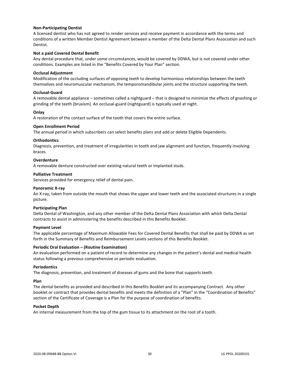#### **Non-Participating Dentist**

A licensed dentist who has not agreed to render services and receive payment in accordance with the terms and conditions of a written Member Dentist Agreement between a member of the Delta Dental Plans Association and such Dentist.

#### **Not a paid Covered Dental Benefit**

Any dental procedure that, under some circumstances, would be covered by DDWA, but is not covered under other conditions. Examples are listed in the "Benefits Covered by Your Plan" section.

#### **Occlusal Adjustment**

Modification of the occluding surfaces of opposing teeth to develop harmonious relationships between the teeth themselves and neuromuscular mechanism, the temporomandibular joints and the structure supporting the teeth.

#### **Occlusal-Guard**

A removable dental appliance – sometimes called a nightguard – that is designed to minimize the effects of gnashing or grinding of the teeth (bruxism). An occlusal-guard (nightguard) is typically used at night.

#### **Onlay**

A restoration of the contact surface of the tooth that covers the entire surface.

#### **Open Enrollment Period**

The annual period in which subscribers can select benefits plans and add or delete Eligible Dependents.

#### **Orthodontics**

Diagnosis, prevention, and treatment of irregularities in tooth and jaw alignment and function, frequently involving braces.

#### **Overdenture**

A removable denture constructed over existing natural teeth or implanted studs.

#### **Palliative Treatment**

Services provided for emergency relief of dental pain.

#### **Panoramic X-ray**

An X-ray, taken from outside the mouth that shows the upper and lower teeth and the associated structures in a single picture.

#### **Participating Plan**

Delta Dental of Washington, and any other member of the Delta Dental Plans Association with which Delta Dental contracts to assist in administering the benefits described in this Benefits Booklet.

#### **Payment Level**

The applicable percentage of Maximum Allowable Fees for Covered Dental Benefits that shall be paid by DDWA as set forth in the Summary of Benefits and Reimbursement Levels sections of this Benefits Booklet.

#### **Periodic Oral Evaluation – (Routine Examination)**

An evaluation performed on a patient of record to determine any changes in the patient's dental and medical health status following a previous comprehensive or periodic evaluation.

#### **Periodontics**

The diagnosis, prevention, and treatment of diseases of gums and the bone that supports teeth.

#### **Plan**

The dental benefits as provided and described in this Benefits Booklet and its accompanying Contract. Any other booklet or contract that provides dental benefits and meets the definition of a "Plan" in the "Coordination of Benefits" section of the Certificate of Coverage is a Plan for the purpose of coordination of benefits.

#### **Pocket Depth**

An internal measurement from the top of the gum tissue to its attachment on the root of a tooth.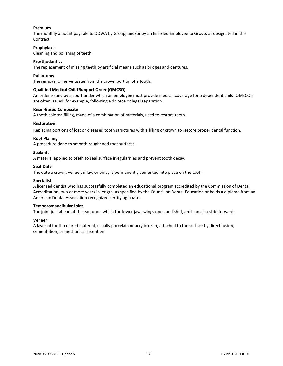#### **Premium**

The monthly amount payable to DDWA by Group, and/or by an Enrolled Employee to Group, as designated in the Contract.

#### **Prophylaxis**

Cleaning and polishing of teeth.

#### **Prosthodontics**

The replacement of missing teeth by artificial means such as bridges and dentures.

#### **Pulpotomy**

The removal of nerve tissue from the crown portion of a tooth.

#### **Qualified Medical Child Support Order (QMCSO)**

An order issued by a court under which an employee must provide medical coverage for a dependent child. QMSCO's are often issued, for example, following a divorce or legal separation.

#### **Resin-Based Composite**

A tooth colored filling, made of a combination of materials, used to restore teeth.

#### **Restorative**

Replacing portions of lost or diseased tooth structures with a filling or crown to restore proper dental function.

#### **Root Planing**

A procedure done to smooth roughened root surfaces.

#### **Sealants**

A material applied to teeth to seal surface irregularities and prevent tooth decay.

#### **Seat Date**

The date a crown, veneer, inlay, or onlay is permanently cemented into place on the tooth.

#### **Specialist**

A licensed dentist who has successfully completed an educational program accredited by the Commission of Dental Accreditation, two or more years in length, as specified by the Council on Dental Education or holds a diploma from an American Dental Association recognized certifying board.

#### **Temporomandibular Joint**

The joint just ahead of the ear, upon which the lower jaw swings open and shut, and can also slide forward.

#### **Veneer**

A layer of tooth-colored material, usually porcelain or acrylic resin, attached to the surface by direct fusion, cementation, or mechanical retention.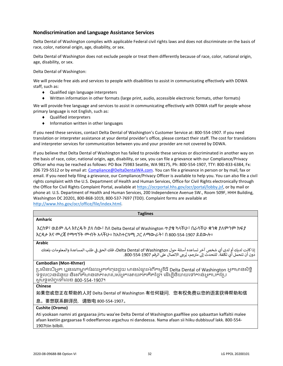#### <span id="page-34-0"></span>**Nondiscrimination and Language Assistance Services**

Delta Dental of Washington complies with applicable Federal civil rights laws and does not discriminate on the basis of race, color, national origin, age, disability, or sex.

Delta Dental of Washington does not exclude people or treat them differently because of race, color, national origin, age, disability, or sex.

Delta Dental of Washington:

We will provide free aids and services to people with disabilities to assist in communicating effectively with DDWA staff, such as:

- ◆ Qualified sign language interpreters
- Written information in other formats (large print, audio, accessible electronic formats, other formats)

We will provide free language and services to assist in communicating effectively with DDWA staff for people whose primary language is not English, such as:

- Qualified interpreters
- $\bullet$  Information written in other languages

If you need these services, contact Delta Dental of Washington's Customer Service at: 800-554-1907. If you need translation or interpreter assistance at your dental provider's office, please contact their staff. The cost for translations and interpreter services for communication between you and your provider are not covered by DDWA.

If you believe that Delta Dental of Washington has failed to provide these services or discriminated in another way on the basis of race, color, national origin, age, disability, or sex, you can file a grievance with our Compliance/Privacy Officer who may be reached as follows: PO Box 75983 Seattle, WA 98175, Ph: 800-554-1907, TTY: 800-833-6384, Fx: 206 729-5512 or by email at: [Compliance@DeltaDentalWA.com.](mailto:Compliance@DeltaDentalWA.com) You can file a grievance in person or by mail, fax or email. If you need help filing a grievance, our Compliance/Privacy Officer is available to help you. You can also file a civil rights complaint with the U.S. Department of Health and Human Services, Office for Civil Rights electronically through the Office for Civil Rights Complaint Portal, available a[t https://ocrportal.hhs.gov/ocr/portal/lobby.jsf,](https://ocrportal.hhs.gov/ocr/portal/lobby.jsf) or by mail or phone at: U.S. Department of Health and Human Services, 200 Independence Avenue SW., Room 509F, HHH Building, Washington DC 20201, 800-868-1019, 800-537-7697 (TDD). Complaint forms are available at [http://www.hhs.gov/ocr/office/file/index.html.](http://www.hhs.gov/ocr/office/file/index.html)

| <b>Taglines</b>                                                                                                                                                                                                                                      |
|------------------------------------------------------------------------------------------------------------------------------------------------------------------------------------------------------------------------------------------------------|
| <b>Amharic</b>                                                                                                                                                                                                                                       |
| እርስዎ፣ ወይም ሌላ እየረዱት ያለ ሰው፣ ስለ Delta Dental of Washington ጥያቄ ካላችሁ፣ በራሳችሁ ቋንቋ ያለምንም ክፍያ<br>እርዳታ እና መረጃ የማማኘት መብት አላችሁ። ከአስተርጓሚ <i>ጋ</i> ር ለማውራት፣ በ 800-554-1907 ይደውሉ።                                                                                  |
| <b>Arabic</b>                                                                                                                                                                                                                                        |
| إذا كانت لديك أو لدى أي شخص آخر تساعده أسئلة حول Delta Dental of Washington، فلك الحق في طلب المساعدة والمعلومات بلغتك<br>دون أن تتحمل أي تكلفة. للتحدث إلى مترجم، يُرجى الاتصال على الرقم 290-554-800.                                              |
| <b>Cambodian (Mon-Khmer)</b>                                                                                                                                                                                                                         |
| ប្រសិនបើអ្នក ឬនរណាម្នាក់ដែលអ្នកកំពុងជួយ មានសំណួរអំពីកម្មវិធី Delta Dental of Washington អ្នកមានសិទ្ធិ<br>ទទួលបានជំនួយ និងព័ត៌មានជាភាសារបស់អ្នកដោយឥតគិតថ្លៃ។ ដើម្បីនិយាយទៅកាន់អ្នកបកប្រែ<br>សូមទូរស័ក្កទៅលេខ 800-554-1907។                            |
| <b>Chinese</b>                                                                                                                                                                                                                                       |
| 如果您或您正在帮助的人对 Delta Dental of Washington 有任何疑问,您有权免费以您的语言获得帮助和信                                                                                                                                                                                       |
| 息。要想联系翻译员,请致电 800-554-1907。                                                                                                                                                                                                                          |
| Cushite (Oromo)                                                                                                                                                                                                                                      |
| Ati yookaan namni ati gargaaraa jirtu waa'ee Delta Dental of Washington gaaffilee yoo qabaattan kaffaltii malee<br>afaan keetiin gargaarsaa fi odeeffannoo argachuu ni dandeessa. Nama afaan sii hiiku dubbisuuf lakk. 800-554-<br>1907tiin bilbili. |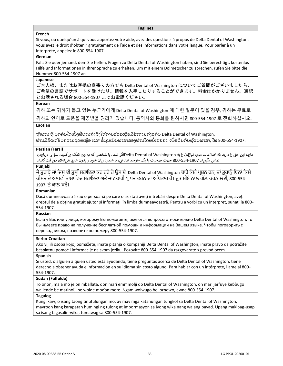#### **Taglines**

#### **French**

Si vous, ou quelqu'un à qui vous apportez votre aide, avez des questions à propos de Delta Dental of Washington, vous avez le droit d'obtenir gratuitement de l'aide et des informations dans votre langue. Pour parler à un interprète, appelez le 800-554-1907.

#### **German**

Falls Sie oder jemand, dem Sie helfen, Fragen zu Delta Dental of Washington haben, sind Sie berechtigt, kostenlos Hilfe und Informationen in Ihrer Sprache zu erhalten. Um mit einem Dolmetscher zu sprechen, rufen Sie bitte die Nummer 800-554-1907 an.

#### **Japanese**

ご本人様、またはお客様の身寄りの方でも Delta Dental of Washington についてご質問がございましたら、 ご希望の言語でサポートを受けたり、情報を入手したりすることができます。料金はかかりません。通訳 とお話される場合 800-554-1907 までお電話ください。

#### **Korean**

귀하 또는 귀하가 돕고 있는 누군가에게 Delta Dental of Washington 에 대한 질문이 있을 경우, 귀하는 무료로 귀하의 언어로 도움을 제공받을 권리가 있습니다. 통역사와 통화를 원하시면 800-554-1907 로 전화하십시오.

#### **Laotian**

ຖ້າທ່ານ ຫຼື ບຸກຄົນໃດໜຶ່ງທີ່ທ່ານກໍາລັງໃຫ້ການຊ່ວຍເຫຼືອມີຄໍາຖາມກ່ຽວກັບ Delta Dental of Washington, ທ່ານມີສິດໄດ້ຮັບຄວາມຊ່ວຍເຫຼືອ ແລະ ຂໍ້ມູນເປັນພາສາຂອງທ່ານໂດຍບໍ່ເສຍຄ່າ. ເພື່ອລິມກັບຜູ້ແປພາສາ, ໂທ 800-554-1907.

#### **Persian (Farsi)**

دارد، این حق را دارید که اطلاعات مورد نیازتان را به Delta Dental of Washingtonاگر شما، یا شخصی که به وی کمک می کنید، سؤالی دربارهی جم شفایه، با شماره زبان خود و بدون هیچ هزینهای دریافتکنید. تماس بگرتید. 800-554-1907 جهت صحبت با یک مت <sup>ر</sup>

#### **Punjabi**

ਜੇ ਤੁਹਾਡੇ ਜਾਂ ਜਿਸ ਦੀ ਤੁਸੀਂ ਸਹਾਇਤਾ ਕਰ ਰਹੇ ਹੋ ਉਸ ਦੇ, Delta Dental of Washington ਬਾਰੇ ਕੋਈ ਪ੍ਰਸ਼ਨ ਹਨ, ਤਾਂ ਤੁਹਾਨੂੰ ਬਿਨਾਂ ਕਿਸੇ ਕੀਮਤ ਦੇ ਆਪਣੀ ਭਾਸ਼ਾ ਵਿਚ ਸਹਾਇਤਾ ਅਤੇ ਜਾਣਕਾਰੀ ਪ੍ਰਾਪਤ ਕਰਨ ਦਾ ਅਧਿਕਾਰ ਹੈ। ਦੁਭਾਸ਼ੀਏ ਨਾਲ ਗੱਲ ਕਰਨ ਲਈ, 800-554-1907 'ਤੇ ਕਾਲ ਕਰੋ।

#### **Romanian**

Dacă dumneavoastră sau o persoană pe care o asistați aveți întrebări despre Delta Dental of Washington, aveți dreptul de a obține gratuit ajutor și informații în limba dumneavoastră. Pentru a vorbi cu un interpret, sunați la 800- 554-1907.

#### **Russian**

Если у Вас или у лица, которому Вы помогаете, имеются вопросы относительно Delta Dental of Washington, то Вы имеете право на получение бесплатной помощи и информации на Вашем языке. Чтобы поговорить с переводчиком, позвоните по номеру 800-554-1907.

#### **Serbo-Croatian**

Ako vi, ili osoba kojoj pomažete, imate pitanja o kompaniji Delta Dental of Washington, imate pravo da potražite besplatnu pomoć i informacije na svom jeziku. Pozovite 800-554-1907 da razgovarate s prevodiocem.

#### **Spanish**

Si usted, o alguien a quien usted está ayudando, tiene preguntas acerca de Delta Dental of Washington, tiene derecho a obtener ayuda e información en su idioma sin costo alguno. Para hablar con un intérprete, llame al 800- 554-1907.

#### **Sudan (Fulfulde)**

To onon, mala mo je on mballata, don mari emmmolji do Delta Dental of Washington, on mari jarfuye keɓɓugo wallende be matinolji be wolde moɗon mere. Ngam wolwugo be lornowo, ewne 800-554-1907.

#### **Tagalog**

Kung ikaw, o isang taong tinutulungan mo, ay may mga katanungan tungkol sa Delta Dental of Washington, mayroon kang karapatan humingi ng tulong at impormasyon sa iyong wika nang walang bayad. Upang makipag-usap sa isang tagasalin-wika, tumawag sa 800-554-1907.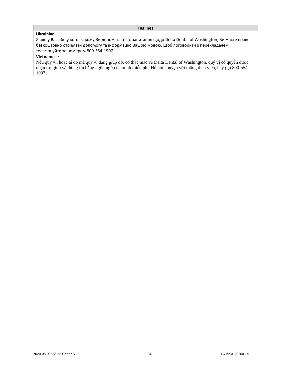#### **Taglines**

#### **Ukrainian**

Якщо у Вас або у когось, кому Ви допомагаєте, є запитання щодо Delta Dental of Washington, Ви маєте право безкоштовно отримати допомогу та інформацію Вашою мовою. Щоб поговорити з перекладачем, телефонуйте за номером 800-554-1907.

#### **Vietnamese**

Nếu quý vị, hoặc ai đó mà quý vị đang giúp đỡ, có thắc mắc về Delta Dental of Washington, quý vị có quyền được nhận trợ giúp và thông tin bằng ngôn ngữ của mình miễn phí. Để nói chuyện với thông dịch viên, hãy gọi 800-554- 1907.